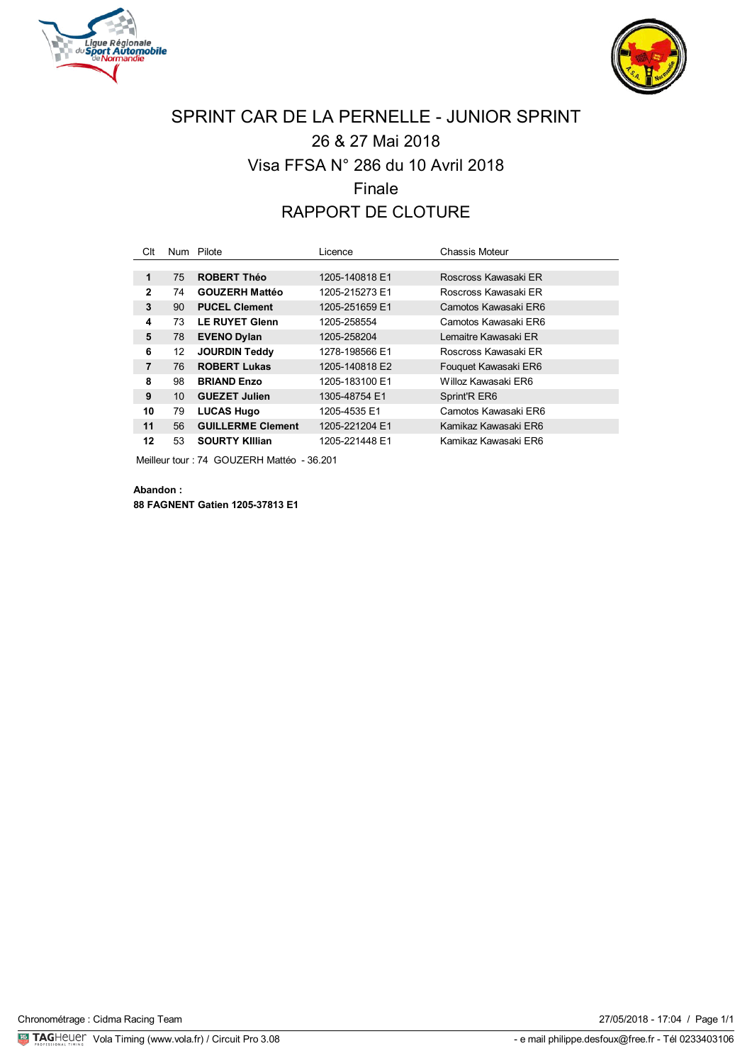



# SPRINT CAR DE LA PERNELLE - JUNIOR SPRINT 26 & 27 Mai 2018 Visa FFSA N° 286 du 10 Avril 2018 Finale RAPPORT DE CLOTURE

| Clt            |    | Num Pilote               | Licence        | Chassis Moteur        |
|----------------|----|--------------------------|----------------|-----------------------|
|                |    |                          |                |                       |
| 1              | 75 | <b>ROBERT Théo</b>       | 1205-140818 E1 | Roscross Kawasaki ER  |
| $\mathbf{2}$   | 74 | <b>GOUZERH Mattéo</b>    | 1205-215273 E1 | Roscross Kawasaki FR  |
| 3              | 90 | <b>PUCEL Clement</b>     | 1205-251659 E1 | Camotos Kawasaki ER6  |
| 4              | 73 | <b>LE RUYET Glenn</b>    | 1205-258554    | Camotos Kawasaki ER6  |
| 5              | 78 | <b>EVENO Dylan</b>       | 1205-258204    | I emaitre Kawasaki FR |
| 6              | 12 | <b>JOURDIN Teddy</b>     | 1278-198566 E1 | Roscross Kawasaki ER  |
| $\overline{7}$ | 76 | <b>ROBERT Lukas</b>      | 1205-140818 E2 | Fouquet Kawasaki ER6  |
| 8              | 98 | <b>BRIAND Enzo</b>       | 1205-183100 E1 | Willoz Kawasaki FR6   |
| 9              | 10 | <b>GUEZET Julien</b>     | 1305-48754 E1  | Sprint'R ER6          |
| 10             | 79 | <b>LUCAS Hugo</b>        | 1205-4535 E1   | Camotos Kawasaki ER6  |
| 11             | 56 | <b>GUILLERME Clement</b> | 1205-221204 E1 | Kamikaz Kawasaki ER6  |
| 12             | 53 | <b>SOURTY KIllian</b>    | 1205-221448 E1 | Kamikaz Kawasaki ER6  |

Meilleur tour : 74 GOUZERH Mattéo - 36.201

**Abandon : 88 FAGNENT Gatien 1205-37813 E1**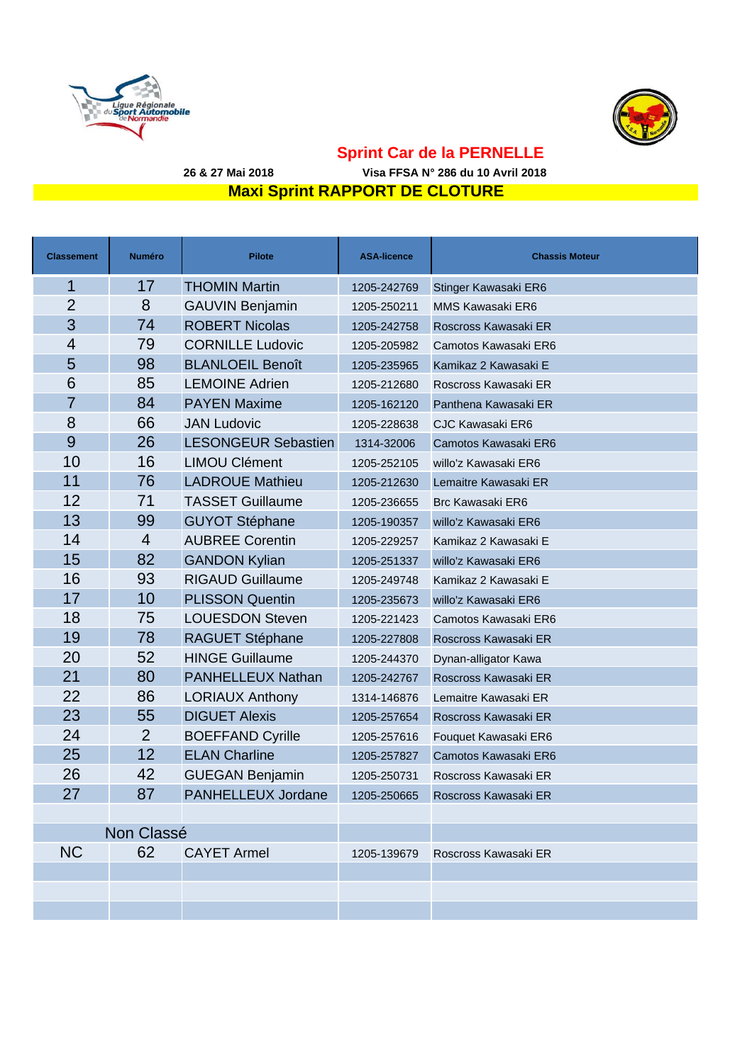



#### **Maxi Sprint RAPPORT DE CLOTURE Sprint Car de la PERNELLE 26 & 27 Mai 2018 Visa FFSA N° 286 du 10 Avril 2018**

| Classement     | <b>Numéro</b>  | <b>Pilote</b>              | <b>ASA-licence</b> | <b>Chassis Moteur</b>   |
|----------------|----------------|----------------------------|--------------------|-------------------------|
| 1              | 17             | <b>THOMIN Martin</b>       | 1205-242769        | Stinger Kawasaki ER6    |
| $\overline{2}$ | 8              | <b>GAUVIN Benjamin</b>     | 1205-250211        | MMS Kawasaki ER6        |
| 3              | 74             | <b>ROBERT Nicolas</b>      | 1205-242758        | Roscross Kawasaki ER    |
| 4              | 79             | <b>CORNILLE Ludovic</b>    | 1205-205982        | Camotos Kawasaki ER6    |
| 5              | 98             | <b>BLANLOEIL Benoît</b>    | 1205-235965        | Kamikaz 2 Kawasaki E    |
| 6              | 85             | <b>LEMOINE Adrien</b>      | 1205-212680        | Roscross Kawasaki ER    |
| $\overline{7}$ | 84             | <b>PAYEN Maxime</b>        | 1205-162120        | Panthena Kawasaki ER    |
| 8              | 66             | <b>JAN Ludovic</b>         | 1205-228638        | <b>CJC Kawasaki ER6</b> |
| 9              | 26             | <b>LESONGEUR Sebastien</b> | 1314-32006         | Camotos Kawasaki ER6    |
| 10             | 16             | <b>LIMOU Clément</b>       | 1205-252105        | willo'z Kawasaki ER6    |
| 11             | 76             | <b>LADROUE Mathieu</b>     | 1205-212630        | Lemaitre Kawasaki ER    |
| 12             | 71             | <b>TASSET Guillaume</b>    | 1205-236655        | <b>Brc Kawasaki ER6</b> |
| 13             | 99             | <b>GUYOT Stéphane</b>      | 1205-190357        | willo'z Kawasaki ER6    |
| 14             | $\overline{4}$ | <b>AUBREE Corentin</b>     | 1205-229257        | Kamikaz 2 Kawasaki E    |
| 15             | 82             | <b>GANDON Kylian</b>       | 1205-251337        | willo'z Kawasaki ER6    |
| 16             | 93             | <b>RIGAUD Guillaume</b>    | 1205-249748        | Kamikaz 2 Kawasaki E    |
| 17             | 10             | <b>PLISSON Quentin</b>     | 1205-235673        | willo'z Kawasaki ER6    |
| 18             | 75             | <b>LOUESDON Steven</b>     | 1205-221423        | Camotos Kawasaki ER6    |
| 19             | 78             | RAGUET Stéphane            | 1205-227808        | Roscross Kawasaki ER    |
| 20             | 52             | <b>HINGE Guillaume</b>     | 1205-244370        | Dynan-alligator Kawa    |
| 21             | 80             | PANHELLEUX Nathan          | 1205-242767        | Roscross Kawasaki ER    |
| 22             | 86             | <b>LORIAUX Anthony</b>     | 1314-146876        | Lemaitre Kawasaki ER    |
| 23             | 55             | <b>DIGUET Alexis</b>       | 1205-257654        | Roscross Kawasaki ER    |
| 24             | $\overline{2}$ | <b>BOEFFAND Cyrille</b>    | 1205-257616        | Fouquet Kawasaki ER6    |
| 25             | 12             | <b>ELAN Charline</b>       | 1205-257827        | Camotos Kawasaki ER6    |
| 26             | 42             | <b>GUEGAN Benjamin</b>     | 1205-250731        | Roscross Kawasaki ER    |
| 27             | 87             | PANHELLEUX Jordane         | 1205-250665        | Roscross Kawasaki ER    |
|                |                |                            |                    |                         |
| Non Classé     |                |                            |                    |                         |
| <b>NC</b>      | 62             | <b>CAYET Armel</b>         | 1205-139679        | Roscross Kawasaki ER    |
|                |                |                            |                    |                         |
|                |                |                            |                    |                         |
|                |                |                            |                    |                         |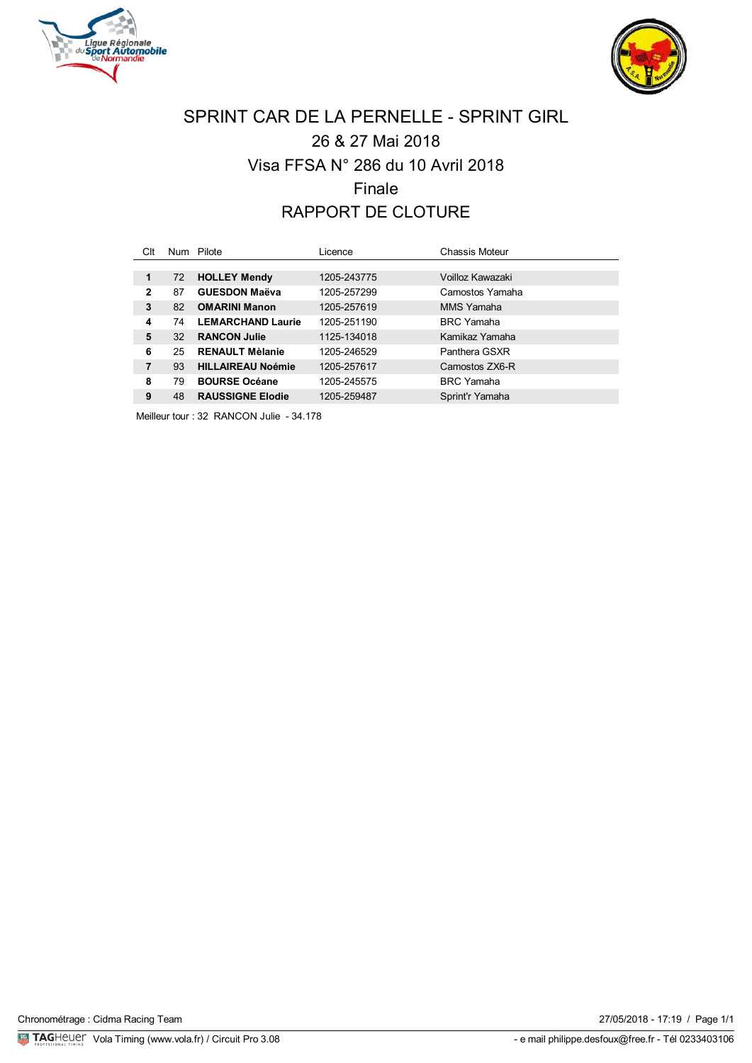



# SPRINT CAR DE LA PERNELLE - SPRINT GIRL 26 & 27 Mai 2018 Visa FFSA N° 286 du 10 Avril 2018 Finale RAPPORT DE CLOTURE

| Clt          |    | Num Pilote               | Licence     | Chassis Moteur    |
|--------------|----|--------------------------|-------------|-------------------|
|              |    |                          |             |                   |
| 1            | 72 | <b>HOLLEY Mendy</b>      | 1205-243775 | Voilloz Kawazaki  |
| $\mathbf{2}$ | 87 | <b>GUESDON Maëva</b>     | 1205-257299 | Camostos Yamaha   |
| 3            | 82 | <b>OMARINI Manon</b>     | 1205-257619 | MMS Yamaha        |
| 4            | 74 | <b>LEMARCHAND Laurie</b> | 1205-251190 | <b>BRC</b> Yamaha |
| 5            | 32 | <b>RANCON Julie</b>      | 1125-134018 | Kamikaz Yamaha    |
| 6            | 25 | <b>RENAULT Mèlanie</b>   | 1205-246529 | Panthera GSXR     |
| 7            | 93 | <b>HILLAIREAU Noémie</b> | 1205-257617 | Camostos ZX6-R    |
| 8            | 79 | <b>BOURSE Océane</b>     | 1205-245575 | <b>BRC</b> Yamaha |
| 9            | 48 | <b>RAUSSIGNE Elodie</b>  | 1205-259487 | Sprint'r Yamaha   |

Meilleur tour : 32 RANCON Julie - 34.178